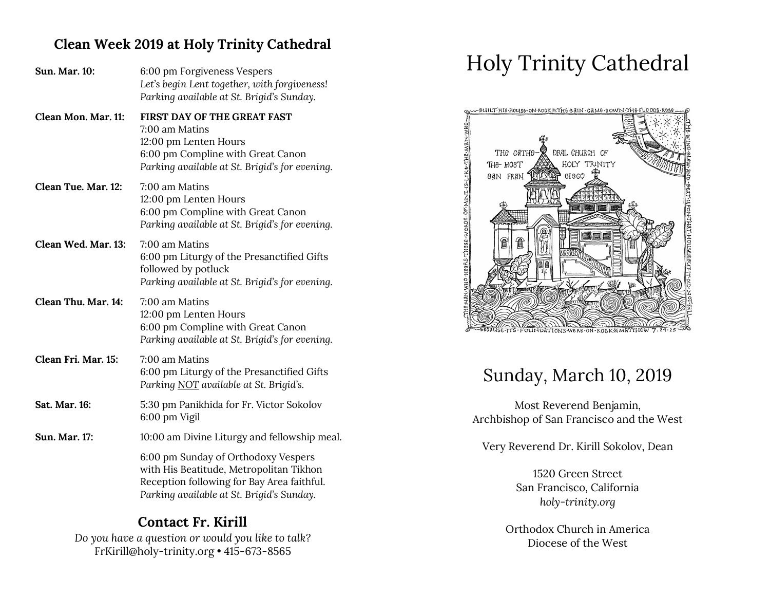## **Clean Week 2019 at Holy Trinity Cathedral**

| <b>Sun. Mar. 10:</b> | 6:00 pm Forgiveness Vespers<br>Let's begin Lent together, with forgiveness!<br>Parking available at St. Brigid's Sunday.                                                  |
|----------------------|---------------------------------------------------------------------------------------------------------------------------------------------------------------------------|
| Clean Mon. Mar. 11:  | <b>FIRST DAY OF THE GREAT FAST</b><br>7:00 am Matins<br>12:00 pm Lenten Hours<br>6:00 pm Compline with Great Canon<br>Parking available at St. Brigid's for evening.      |
| Clean Tue. Mar. 12:  | 7:00 am Matins<br>12:00 pm Lenten Hours<br>6:00 pm Compline with Great Canon<br>Parking available at St. Brigid's for evening.                                            |
| Clean Wed. Mar. 13:  | 7:00 am Matins<br>6:00 pm Liturgy of the Presanctified Gifts<br>followed by potluck<br>Parking available at St. Brigid's for evening.                                     |
| Clean Thu. Mar. 14:  | 7:00 am Matins<br>12:00 pm Lenten Hours<br>6:00 pm Compline with Great Canon<br>Parking available at St. Brigid's for evening.                                            |
| Clean Fri. Mar. 15:  | 7:00 am Matins<br>6:00 pm Liturgy of the Presanctified Gifts<br>Parking NOT available at St. Brigid's.                                                                    |
| Sat. Mar. 16:        | 5:30 pm Panikhida for Fr. Victor Sokolov<br>6:00 pm Vigil                                                                                                                 |
| <b>Sun. Mar. 17:</b> | 10:00 am Divine Liturgy and fellowship meal.                                                                                                                              |
|                      | 6:00 pm Sunday of Orthodoxy Vespers<br>with His Beatitude, Metropolitan Tikhon<br>Reception following for Bay Area faithful.<br>Parking available at St. Brigid's Sunday. |

## **Contact Fr. Kirill**

*Do you have a question or would you like to talk?* FrKirill@holy-trinity.org • 415-673-8565

# Holy Trinity Cathedral



## Sunday, March 10, 2019

Most Reverend Benjamin, Archbishop of San Francisco and the West

Very Reverend Dr. Kirill Sokolov, Dean

1520 Green Street San Francisco, California *holy-trinity.org*

Orthodox Church in America Diocese of the West